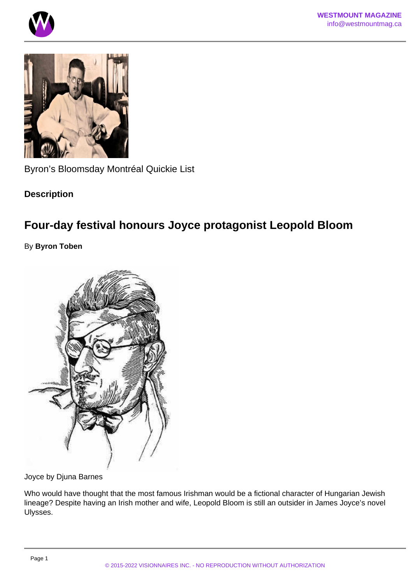Byron's Bloomsday Montréal Quickie List

**Description** 

## Four-day festival honours Joyce protagonist Leopold Bloom

By Byron Toben

Joyce by Djuna Barnes

Who would have thought that the most famous Irishman would be a fictional character of Hungarian Jewish lineage? Despite having an Irish mother and wife, Leopold Bloom is still an outsider in James Joyce's novel Ulysses.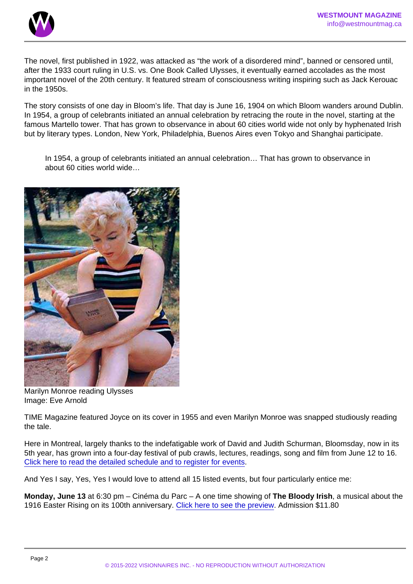The novel, first published in 1922, was attacked as "the work of a disordered mind", banned or censored until, after the 1933 court ruling in U.S. vs. One Book Called Ulysses, it eventually earned accolades as the most important novel of the 20th century. It featured stream of consciousness writing inspiring such as Jack Kerouac in the 1950s.

The story consists of one day in Bloom's life. That day is June 16, 1904 on which Bloom wanders around Dublin. In 1954, a group of celebrants initiated an annual celebration by retracing the route in the novel, starting at the famous Martello tower. That has grown to observance in about 60 cities world wide not only by hyphenated Irish but by literary types. London, New York, Philadelphia, Buenos Aires even Tokyo and Shanghai participate.

In 1954, a group of celebrants initiated an annual celebration… That has grown to observance in about 60 cities world wide…

Marilyn Monroe reading Ulysses Image: Eve Arnold

TIME Magazine featured Joyce on its cover in 1955 and even Marilyn Monroe was snapped studiously reading the tale.

Here in Montreal, largely thanks to the indefatigable work of David and Judith Schurman, Bloomsday, now in its 5th year, has grown into a four-day festival of pub crawls, lectures, readings, song and film from June 12 to 16. [Click here to read the detailed schedule and to register for events.](https://bloomsdaymontreal.com/schedule/)

And Yes I say, Yes, Yes I would love to attend all 15 listed events, but four particularly entice me:

Monday, June 13 at 6:30 pm – Cinéma du Parc – A one time showing of The Bloody Irish , a musical about the 1916 Easter Rising on its 100th anniversary. [Click here to see the preview](https://youtu.be/8KtOtr-lsAk). Admission \$11.80